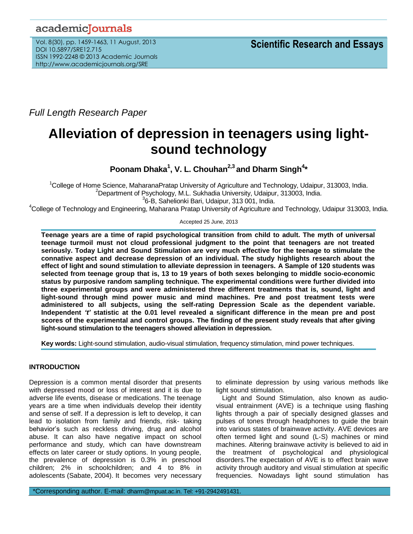# academicJournals

Vol. 8(30), pp. 1459-1463, 11 August, 2013 DOI 10.5897/SRE12.715 ISSN 1992-2248 © 2013 Academic Journals http://www.academicjournals.org/SRE

*Full Length Research Paper*

# **Alleviation of depression in teenagers using lightsound technology**

**Poonam Dhaka<sup>1</sup> , V. L. Chouhan2,3 and Dharm Singh<sup>4</sup> \***

<sup>1</sup>College of Home Science, MaharanaPratap University of Agriculture and Technology, Udaipur, 313003, India. <sup>2</sup>Department of Psychology, M.L. Sukhadia University, Udaipur, 313003, India. 3 6-B, Sahelionki Bari, Udaipur, 313 001, India.

<sup>4</sup>College of Technology and Engineering, Maharana Pratap University of Agriculture and Technology, Udaipur 313003, India.

Accepted 25 June, 2013

**Teenage years are a time of rapid psychological transition from child to adult. The myth of universal teenage turmoil must not cloud professional judgment to the point that teenagers are not treated seriously. Today Light and Sound Stimulation are very much effective for the teenage to stimulate the connative aspect and decrease depression of an individual. The study highlights research about the effect of light and sound stimulation to alleviate depression in teenagers. A Sample of 120 students was selected from teenage group that is, 13 to 19 years of both sexes belonging to middle socio-economic status by purposive random sampling technique. The experimental conditions were further divided into three experimental groups and were administered three different treatments that is, sound, light and light-sound through mind power music and mind machines. Pre and post treatment tests were administered to all subjects, using the self-rating Depression Scale as the dependent variable. Independent** *'t'* **statistic at the 0.01 level revealed a significant difference in the mean pre and post scores of the experimental and control groups. The finding of the present study reveals that after giving light-sound stimulation to the teenagers showed alleviation in depression.**

**Key words:** Light-sound stimulation, audio-visual stimulation, frequency stimulation, mind power techniques.

# **INTRODUCTION**

Depression is a common mental disorder that presents with depressed mood or loss of interest and it is due to adverse life events, disease or medications. The teenage years are a time when individuals develop their identity and sense of self. If a depression is left to develop, it can lead to isolation from family and friends, risk- taking behavior's such as reckless driving, drug and alcohol abuse. It can also have negative impact on school performance and study, which can have downstream effects on later career or study options. In young people, the prevalence of depression is 0.3% in preschool children; 2% in schoolchildren; and 4 to 8% in adolescents (Sabate, 2004). It becomes very necessary

to eliminate depression by using various methods like light sound stimulation.

Light and Sound Stimulation, also known as audiovisual entrainment (AVE) is a technique using flashing lights through a pair of specially designed glasses and pulses of tones through headphones to guide the brain into various states of brainwave activity. AVE devices are often termed light and sound (L-S) machines or mind machines. Altering brainwave activity is believed to aid in the treatment of psychological and physiological disorders.The expectation of AVE is to effect brain wave activity through auditory and visual stimulation at specific frequencies. Nowadays light sound stimulation has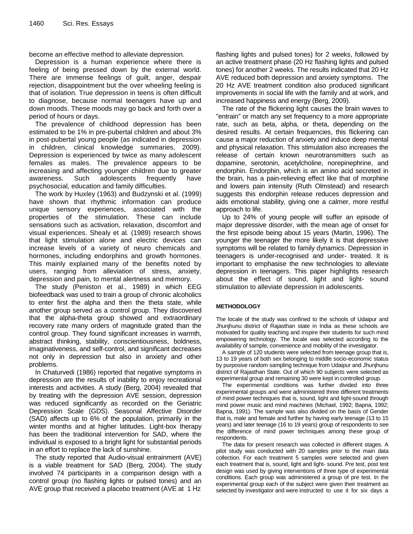become an effective method to alleviate depression.

Depression is a human experience where there is feeling of being pressed down by the external world. There are immense feelings of guilt, anger, despair rejection, disappointment but the over wheeling feeling is that of isolation. True depression in teens is often difficult to diagnose, because normal teenagers have up and down moods. These moods may go back and forth over a period of hours or days.

The prevalence of childhood depression has been estimated to be 1% in pre-pubertal children and about 3% in post-pubertal young people (as indicated in depression in children, clinical knowledge summaries, 2009). Depression is experienced by twice as many adolescent females as males. The prevalence appears to be increasing and affecting younger children due to greater awareness. Such adolescents frequently have psychosocial, education and family difficulties.

The work by Huxley (1963) and Budzynski et al. (1999) have shown that rhythmic information can produce unique sensory experiences, associated with the properties of the stimulation. These can include sensations such as activation, relaxation, discomfort and visual experiences. Shealy et al. (1989) research shows that light stimulation alone and electric devices can increase levels of a variety of neuro chemicals and hormones, including endorphins and growth hormones. This mainly explained many of the benefits noted by users, ranging from alleviation of stress, anxiety, depression and pain, to mental alertness and memory.

The study (Peniston et al., 1989) in which EEG biofeedback was used to train a group of chronic alcoholics to enter first the alpha and then the theta state, while another group served as a control group. They discovered that the alpha-theta group showed and extraordinary recovery rate many orders of magnitude grated than the control group. They found significant increases in warmth, abstract thinking, stability, conscientiousness, boldness, imaginativeness, and self-control, and significant decreases not only in depression but also in anxiety and other problems.

In Chaturvedi (1986) reported that negative symptoms in depression are the results of inability to enjoy recreational interests and activities. A study (Berg, 2004) revealed that by treating with the depression AVE session, depression was reduced significantly as recorded on the Geriatric Depression Scale (GDS). Seasonal Affective Disorder (SAD) affects up to 6% of the population, primarily in the winter months and at higher latitudes. Light-box therapy has been the traditional intervention for SAD, where the individual is exposed to a bright light for substantial periods in an effort to replace the lack of sunshine.

The study reported that Audio-visual entrainment (AVE) is a viable treatment for SAD (Berg, 2004). The study involved 74 participants in a comparison design with a control group (no flashing lights or pulsed tones) and an AVE group that received a placebo treatment (AVE at 1 Hz

flashing lights and pulsed tones) for 2 weeks, followed by an active treatment phase (20 Hz flashing lights and pulsed tones) for another 2 weeks. The results indicated that 20 Hz AVE reduced both depression and anxiety symptoms. The 20 Hz AVE treatment condition also produced significant improvements in social life with the family and at work, and increased happiness and energy (Berg, 2009).

The rate of the flickering light causes the brain waves to "entrain" or match any set frequency to a more appropriate rate, such as beta, alpha, or theta, depending on the desired results. At certain frequencies, this flickering can cause a major reduction of anxiety and induce deep mental and physical relaxation. This stimulation also increases the release of certain known neurotransmitters such as dopamine, serotonin, acetylcholine, norepinephrine, and endorphin. Endorphin, which is an amino acid secreted in the brain, has a pain-relieving effect like that of morphine and lowers pain intensity (Ruth Olmstead) and research suggests this endorphin release reduces depression and aids emotional stability, giving one a calmer, more restful approach to life.

Up to 24% of young people will suffer an episode of major depressive disorder, with the mean age of onset for the first episode being about 15 years (Martin, 1996). The younger the teenager the more likely it is that depressive symptoms will be related to family dynamics. Depression in teenagers is under-recognised and under- treated. It is important to emphasise the new technologies to alleviate depression in teenagers. This paper highlights research about the effect of sound, light and light- sound stimulation to alleviate depression in adolescents.

## **METHODOLOGY**

The locale of the study was confined to the schools of Udaipur and Jhunjhunu district of Rajasthan state in India as these schools are motivated for quality teaching and inspire their students for such mind empowering technology. The locale was selected according to the availability of sample, convenience and mobility of the investigator.

A sample of 120 students were selected from teenage group that is, 13 to 19 years of both sex belonging to middle socio-economic status by purposive random sampling technique from Udaipur and Jhunjhunu district of Rajasthan State. Out of which 90 subjects were selected as experimental group and remaining 30 were kept in controlled group.

The experimental conditions was further divided into three experimental groups and were administered three different treatments of mind power techniques that is, sound, light and light-sound through mind power music and mind machines (Michael, 1992; Bapna, 1992; Bapna, 1991). The sample was also divided on the basis of Gender that is, male and female and further by having early teenage (13 to 15 years) and later teenage (16 to 19 years) group of respondents to see the difference of mind power techniques among these group of respondents.

The data for present research was collected in different stages. A pilot study was conducted with 20 samples prior to the main data collection. For each treatment 5 samples were selected and given each treatment that is, sound, light and light- sound. Pre test, post test design was used by giving interventions of three type of experimental conditions. Each group was administered a group of pre test. In the experimental group each of the subject were given their treatment as selected by investigator and were instructed to use it for six days a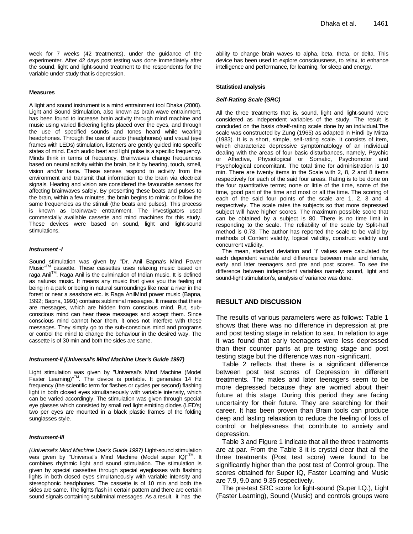#### **Measures**

A light and sound instrument is a mind entrainment tool Dhaka (2000). Light and Sound Stimulation, also known as brain wave entrainment, has been found to increase brain activity through mind machine and music using varied flickering lights placed over the eyes, and through the use of specified sounds and tones heard while wearing headphones. Through the use of audio (headphones) and visual (eye frames with LEDs) stimulation, listeners are gently guided into specific states of mind. Each audio beat and light pulse is a specific frequency. Minds think in terms of frequency. Brainwaves change frequencies based on neural activity within the brain, be it by hearing, touch, smell, vision and/or taste. These senses respond to activity from the environment and transmit that information to the brain via electrical signals. Hearing and vision are considered the favourable senses for affecting brainwaves safely. By presenting these beats and pulses to the brain, within a few minutes, the brain begins to mimic or follow the same frequencies as the stimuli (the beats and pulses). This process is known as brainwave entrainment. The investigators used commercially available cassette and mind machines for this study. These devices were based on sound, light and light-sound stimulations.

#### *Instrument -I*

Sound stimulation was given by "Dr. Anil Bapna's Mind Power Music"TM cassette. These cassettes uses relaxing music based on raga Anil™. Raga Anil is the culmination of Indian music. It is defined as natures music. It means any music that gives you the feeling of being in a park or being in natural surroundings like near a river in the forest or near a seashore etc. is Raga AnilMind power music (Bapna, 1992; Bapna, 1991) contains subliminal messages. It means that there are messages, which are hidden from conscious mind. But, subconscious mind can hear these messages and accept them. Since conscious mind cannot hear them, it ones not interfere with these messages. They simply go to the sub-conscious mind and programs or control the mind to change the behaviour in the desired way. The cassette is of 30 min and both the sides are same.

#### *Instrument-II (Universal's Mind Machine User's Guide 1997)*

Light stimulation was given by "Universal's Mind Machine (Model Faster Learning)<sup>"™</sup>. The device is portable. It generates 14 Hz frequency (the scientific term for flashes or cycles per second) flashing light in both closed eyes simultaneously with variable intensity, which can be varied accordingly. The stimulation was given through special eye glasses which consisted by small red light emitting diodes (LED's) two per eyes are mounted in a black plastic frames of the folding sunglasses style.

#### *Instrument-III*

*(Universal's Mind Machine User's Guide 1997)* Light-sound stimulation was given by "Universal's Mind Machine (Model super IQ)"<sup>1M</sup>. It combines rhythmic light and sound stimulation. The stimulation is given by special cassettes through special eyeglasses with flashing lights in both closed eyes simultaneously with variable intensity and stereophonic headphones. The cassette is of 10 min and both the sides are same. The lights flash in certain pattern and there are certain sound signals containing subliminal messages. As a result, it has the

ability to change brain waves to alpha, beta, theta, or delta. This device has been used to explore consciousness, to relax, to enhance intelligence and performance, for learning, for sleep and energy.

#### **Statistical analysis**

#### *Self-Rating Scale (SRC)*

All the three treatments that is, sound, light and light-sound were considered as independent variables of the study. The result is concluded on the basis ofself-rating scale done by an individual.The scale was constructed by Zung (1965) as adapted in Hindi by Mirza (1983). It is a short, simple, self-rating scale. It consists of item, which characterize depressive symptomatology of an individual dealing with the areas of four basic disturbances, namely, Psychic or Affective, Physiological or Somatic, Psychomotor and Psychological concomitant. The total time for administration is 10 min. There are twenty items in the Scale with 2, 8, 2 and 8 items respectively for each of the said four areas. Rating is to be done on the four quantitative terms; none or little of the time, some of the time, good part of the time and most or all the time. The scoring of each of the said four points of the scale are 1, 2, 3 and 4 respectively. The scale rates the subjects so that more depressed subject will have higher scores. The maximum possible score that can be obtained by a subject is 80. There is no time limit in responding to the scale. The reliability of the scale by Split-half method is 0.73. The author has reported the scale to be valid by methods of Content validity, logical validity, construct validity and concurrent validity.

The mean, standard deviation and `t' values were calculated for each dependent variable and difference between male and female, early and later teenagers and pre and post scores. To see the difference between independent variables namely: sound, light and sound-light stimulation's, analysis of variance was done.

## **RESULT AND DISCUSSION**

The results of various parameters were as follows: Table 1 shows that there was no difference in depression at pre and post testing stage in relation to sex. In relation to age it was found that early teenagers were less depressed than their counter parts at pre testing stage and post testing stage but the difference was non -significant.

Table 2 reflects that there is a significant difference between post test scores of Depression in different treatments. The males and later teenagers seem to be more depressed because they are worried about their future at this stage. During this period they are facing uncertainty for their future. They are searching for their career. It has been proven than Brain tools can produce deep and lasting relaxation to reduce the feeling of loss of control or helplessness that contribute to anxiety and depression.

Table 3 and Figure 1 indicate that all the three treatments are at par. From the Table 3 it is crystal clear that all the three treatments (Post test score) were found to be significantly higher than the post test of Control group. The scores obtained for Super IQ, Faster Learning and Music are 7.9, 9.0 and 9.35 respectively.

The pre-test SRC score for light-sound (Super I.Q.), Light (Faster Learning), Sound (Music) and controls groups were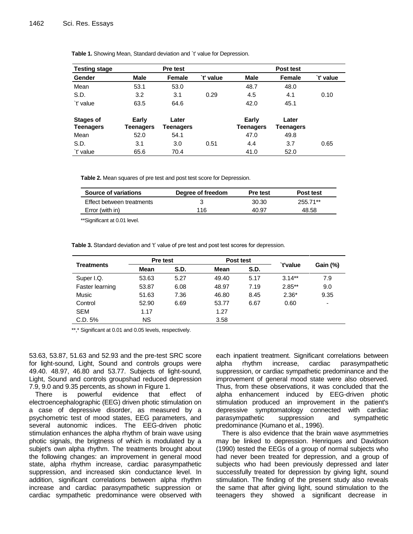| <b>Testing stage</b>          | Pre test           |                    |           | Post test                 |                    |           |
|-------------------------------|--------------------|--------------------|-----------|---------------------------|--------------------|-----------|
| Gender                        | <b>Male</b>        | Female             | `t' value | <b>Male</b>               | <b>Female</b>      | `t' value |
| Mean                          | 53.1               | 53.0               |           | 48.7                      | 48.0               |           |
| S.D.                          | 3.2                | 3.1                | 0.29      | 4.5                       | 4.1                | 0.10      |
| `t' value                     | 63.5               | 64.6               |           | 42.0                      | 45.1               |           |
| Stages of<br><b>Teenagers</b> | Early<br>Teenagers | Later<br>Teenagers |           | Early<br><b>Teenagers</b> | Later<br>Teenagers |           |
| Mean                          | 52.0               | 54.1               |           | 47.0                      | 49.8               |           |
| S.D.                          | 3.1                | 3.0                | 0.51      | 4.4                       | 3.7                | 0.65      |
| `t' value                     | 65.6               | 70.4               |           | 41.0                      | 52.0               |           |

Table 1. Showing Mean, Standard deviation and `t' value for Depression.

**Table 2.** Mean squares of pre test and post test score for Depression.

| Source of variations      | Degree of freedom | <b>Pre test</b> | Post test |
|---------------------------|-------------------|-----------------|-----------|
| Effect between treatments |                   | 30.30           | 255.71**  |
| Error (with in)           | 116               | 40.97           | 48.58     |

\*\*Significant at 0.01 level.

Table 3. Standard deviation and 't' value of pre test and post test scores for depression.

| <b>Treatments</b> | Pre test |      | Post test   |             | `t'value  |                 |
|-------------------|----------|------|-------------|-------------|-----------|-----------------|
|                   | Mean     | S.D. | <b>Mean</b> | <b>S.D.</b> |           | <b>Gain (%)</b> |
| Super I.Q.        | 53.63    | 5.27 | 49.40       | 5.17        | $3.14**$  | 7.9             |
| Faster learning   | 53.87    | 6.08 | 48.97       | 7.19        | $2.85***$ | 9.0             |
| Music             | 51.63    | 7.36 | 46.80       | 8.45        | $2.36*$   | 9.35            |
| Control           | 52.90    | 6.69 | 53.77       | 6.67        | 0.60      | ٠               |
| <b>SEM</b>        | 1.17     |      | 1.27        |             |           |                 |
| C.D. 5%           | NS.      |      | 3.58        |             |           |                 |

\*\*,\* Significant at 0.01 and 0.05 levels, respectively.

53.63, 53.87, 51.63 and 52.93 and the pre-test SRC score for light-sound, Light, Sound and controls groups were 49.40. 48.97, 46.80 and 53.77. Subjects of light-sound, Light, Sound and controls groupshad reduced depression 7.9, 9.0 and 9.35 percents, as shown in Figure 1.

There is powerful evidence that effect of electroencephalographic (EEG) driven photic stimulation on a case of depressive disorder, as measured by a psychometric test of mood states, EEG parameters, and several autonomic indices. The EEG-driven photic stimulation enhances the alpha rhythm of brain wave using photic signals, the brigtness of which is modulated by a subjet's own alpha rhythm. The treatments brought about the following changes: an improvement in general mood state, alpha rhythm increase, cardiac parasympathetic suppression, and increased skin conductance level. In addition, significant correlations between alpha rhythm increase and cardiac parasympathetic suppression or cardiac sympathetic predominance were observed with

each inpatient treatment. Significant correlations between alpha rhythm increase, cardiac parasympathetic suppression, or cardiac sympathetic predominance and the improvement of general mood state were also observed. Thus, from these observations, it was concluded that the alpha enhancement induced by EEG-driven photic stimulation produced an improvement in the patient's depressive symptomatology connected with cardiac parasympathetic suppression and sympathetic predominance (Kumano et al., 1996).

There is also evidence that the brain wave asymmetries may be linked to depression. Henriques and Davidson (1990) tested the EEGs of a group of normal subjects who had never been treated for depression, and a group of subjects who had been previously depressed and later successfully treated for depression by giving light, sound stimulation. The finding of the present study also reveals the same that after giving light, sound stimulation to the teenagers they showed a significant decrease in